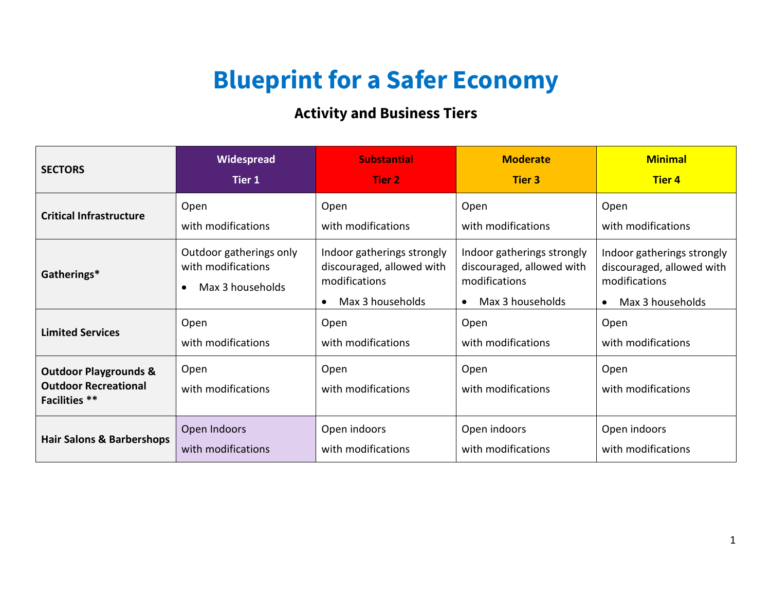## **Blueprint for a Safer Economy**

## **Activity and Business Tiers**

| <b>SECTORS</b>                                                                          | Widespread                                                                     | <b>Substantial</b>                                                                                        | <b>Moderate</b>                                                                                           | <b>Minimal</b>                                                                                            |
|-----------------------------------------------------------------------------------------|--------------------------------------------------------------------------------|-----------------------------------------------------------------------------------------------------------|-----------------------------------------------------------------------------------------------------------|-----------------------------------------------------------------------------------------------------------|
|                                                                                         | Tier 1                                                                         | Tier 2                                                                                                    | <b>Tier 3</b>                                                                                             | <b>Tier 4</b>                                                                                             |
| <b>Critical Infrastructure</b>                                                          | Open                                                                           | Open                                                                                                      | Open                                                                                                      | Open                                                                                                      |
|                                                                                         | with modifications                                                             | with modifications                                                                                        | with modifications                                                                                        | with modifications                                                                                        |
| Gatherings*                                                                             | Outdoor gatherings only<br>with modifications<br>Max 3 households<br>$\bullet$ | Indoor gatherings strongly<br>discouraged, allowed with<br>modifications<br>Max 3 households<br>$\bullet$ | Indoor gatherings strongly<br>discouraged, allowed with<br>modifications<br>Max 3 households<br>$\bullet$ | Indoor gatherings strongly<br>discouraged, allowed with<br>modifications<br>Max 3 households<br>$\bullet$ |
| <b>Limited Services</b>                                                                 | Open                                                                           | Open                                                                                                      | Open                                                                                                      | Open                                                                                                      |
|                                                                                         | with modifications                                                             | with modifications                                                                                        | with modifications                                                                                        | with modifications                                                                                        |
| <b>Outdoor Playgrounds &amp;</b><br><b>Outdoor Recreational</b><br><b>Facilities</b> ** | Open<br>with modifications                                                     | Open<br>with modifications                                                                                | Open<br>with modifications                                                                                | Open<br>with modifications                                                                                |
| <b>Hair Salons &amp; Barbershops</b>                                                    | Open Indoors                                                                   | Open indoors                                                                                              | Open indoors                                                                                              | Open indoors                                                                                              |
|                                                                                         | with modifications                                                             | with modifications                                                                                        | with modifications                                                                                        | with modifications                                                                                        |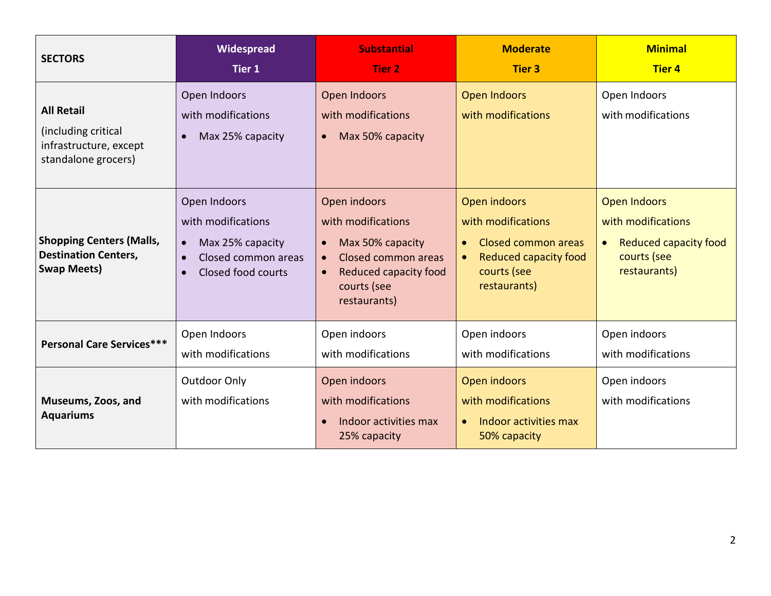| <b>SECTORS</b>                                                                            | Widespread<br><b>Tier 1</b>                                                                                                   | <b>Substantial</b><br><b>Tier 2</b>                                                                                                                             | <b>Moderate</b><br><b>Tier 3</b>                                                                                                                   | <b>Minimal</b><br><b>Tier 4</b>                                                                                |
|-------------------------------------------------------------------------------------------|-------------------------------------------------------------------------------------------------------------------------------|-----------------------------------------------------------------------------------------------------------------------------------------------------------------|----------------------------------------------------------------------------------------------------------------------------------------------------|----------------------------------------------------------------------------------------------------------------|
| <b>All Retail</b><br>(including critical<br>infrastructure, except<br>standalone grocers) | Open Indoors<br>with modifications<br>Max 25% capacity<br>$\bullet$                                                           | Open Indoors<br>with modifications<br>Max 50% capacity<br>$\bullet$                                                                                             | <b>Open Indoors</b><br>with modifications                                                                                                          | Open Indoors<br>with modifications                                                                             |
| <b>Shopping Centers (Malls,</b><br><b>Destination Centers,</b><br><b>Swap Meets)</b>      | Open Indoors<br>with modifications<br>Max 25% capacity<br>$\bullet$<br>Closed common areas<br>$\bullet$<br>Closed food courts | Open indoors<br>with modifications<br>Max 50% capacity<br>$\bullet$<br>Closed common areas<br>$\bullet$<br>Reduced capacity food<br>courts (see<br>restaurants) | Open indoors<br>with modifications<br>Closed common areas<br>$\bullet$<br><b>Reduced capacity food</b><br>$\bullet$<br>courts (see<br>restaurants) | Open Indoors<br>with modifications<br><b>Reduced capacity food</b><br>$\bullet$<br>courts (see<br>restaurants) |
| <b>Personal Care Services***</b>                                                          | Open Indoors<br>with modifications                                                                                            | Open indoors<br>with modifications                                                                                                                              | Open indoors<br>with modifications                                                                                                                 | Open indoors<br>with modifications                                                                             |
| Museums, Zoos, and<br><b>Aquariums</b>                                                    | Outdoor Only<br>with modifications                                                                                            | Open indoors<br>with modifications<br>Indoor activities max<br>25% capacity                                                                                     | Open indoors<br>with modifications<br>Indoor activities max<br>$\bullet$<br>50% capacity                                                           | Open indoors<br>with modifications                                                                             |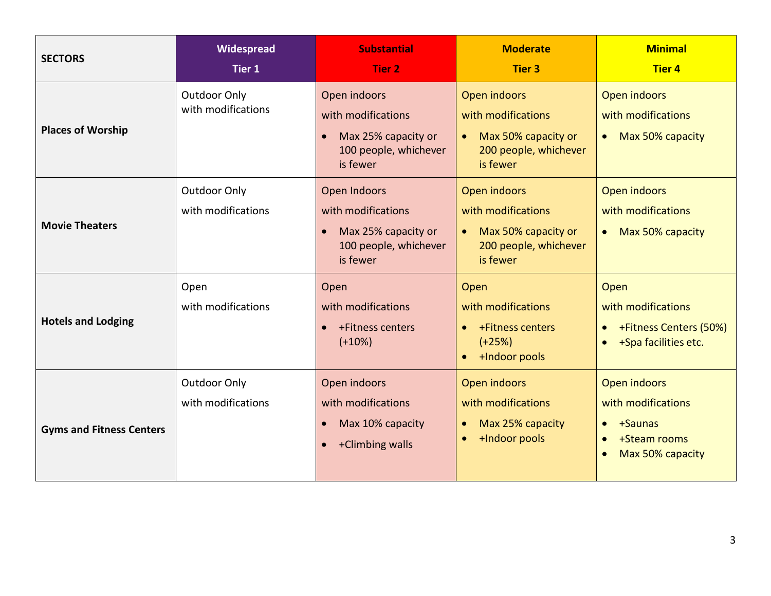| <b>SECTORS</b>                  | Widespread<br>Tier 1                      | <b>Substantial</b><br><b>Tier 2</b>                                                                 | <b>Moderate</b><br><b>Tier 3</b>                                                               | <b>Minimal</b><br><b>Tier 4</b>                                                                                          |
|---------------------------------|-------------------------------------------|-----------------------------------------------------------------------------------------------------|------------------------------------------------------------------------------------------------|--------------------------------------------------------------------------------------------------------------------------|
| <b>Places of Worship</b>        | <b>Outdoor Only</b><br>with modifications | Open indoors<br>with modifications<br>Max 25% capacity or<br>100 people, whichever<br>is fewer      | Open indoors<br>with modifications<br>Max 50% capacity or<br>200 people, whichever<br>is fewer | Open indoors<br>with modifications<br>Max 50% capacity<br>$\bullet$                                                      |
| <b>Movie Theaters</b>           | Outdoor Only<br>with modifications        | Open Indoors<br>with modifications<br>Max 25% capacity or<br>100 people, whichever<br>is fewer      | Open indoors<br>with modifications<br>Max 50% capacity or<br>200 people, whichever<br>is fewer | Open indoors<br>with modifications<br>Max 50% capacity<br>$\bullet$                                                      |
| <b>Hotels and Lodging</b>       | Open<br>with modifications                | Open<br>with modifications<br>+Fitness centers<br>$(+10%)$                                          | Open<br>with modifications<br>+Fitness centers<br>$(+25%)$<br>+Indoor pools                    | Open<br>with modifications<br>+Fitness Centers (50%)<br>$\bullet$<br>+Spa facilities etc.<br>$\bullet$                   |
| <b>Gyms and Fitness Centers</b> | Outdoor Only<br>with modifications        | Open indoors<br>with modifications<br>Max 10% capacity<br>$\bullet$<br>+Climbing walls<br>$\bullet$ | Open indoors<br>with modifications<br>Max 25% capacity<br>+Indoor pools<br>$\bullet$           | Open indoors<br>with modifications<br>+Saunas<br>$\bullet$<br>+Steam rooms<br>$\bullet$<br>Max 50% capacity<br>$\bullet$ |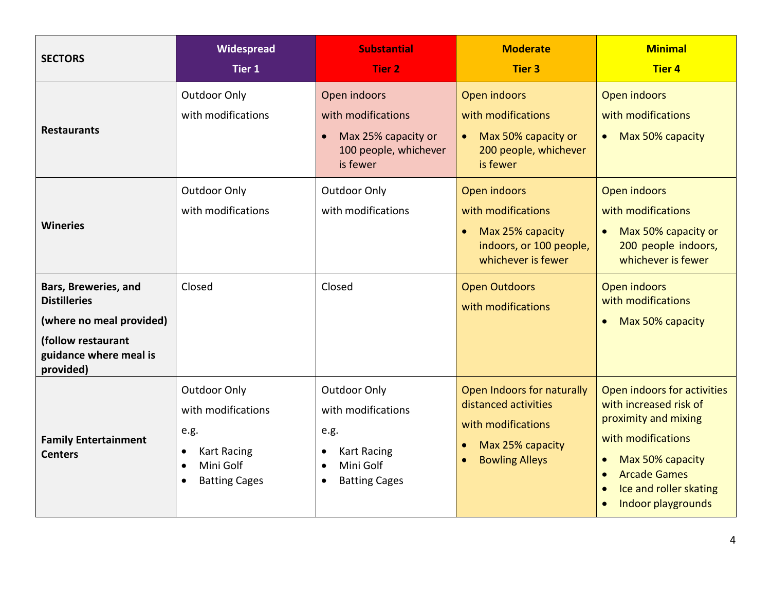| <b>SECTORS</b>                                                                                                                                          | Widespread<br>Tier 1                                                                                                                                | <b>Substantial</b><br><b>Tier 2</b>                                                                                                                 | <b>Moderate</b><br><b>Tier 3</b>                                                                                                                                   | <b>Minimal</b><br><b>Tier 4</b>                                                                                                                                                                                                                    |
|---------------------------------------------------------------------------------------------------------------------------------------------------------|-----------------------------------------------------------------------------------------------------------------------------------------------------|-----------------------------------------------------------------------------------------------------------------------------------------------------|--------------------------------------------------------------------------------------------------------------------------------------------------------------------|----------------------------------------------------------------------------------------------------------------------------------------------------------------------------------------------------------------------------------------------------|
| <b>Restaurants</b>                                                                                                                                      | Outdoor Only<br>with modifications                                                                                                                  | Open indoors<br>with modifications<br>Max 25% capacity or<br>100 people, whichever<br>is fewer                                                      | Open indoors<br>with modifications<br>Max 50% capacity or<br>200 people, whichever<br>is fewer                                                                     | Open indoors<br>with modifications<br>Max 50% capacity<br>$\bullet$                                                                                                                                                                                |
| <b>Wineries</b><br>Bars, Breweries, and<br><b>Distilleries</b><br>(where no meal provided)<br>(follow restaurant<br>guidance where meal is<br>provided) | Outdoor Only<br>with modifications<br>Closed                                                                                                        | <b>Outdoor Only</b><br>with modifications<br>Closed                                                                                                 | Open indoors<br>with modifications<br>Max 25% capacity<br>$\bullet$<br>indoors, or 100 people,<br>whichever is fewer<br><b>Open Outdoors</b><br>with modifications | Open indoors<br>with modifications<br>Max 50% capacity or<br>$\bullet$<br>200 people indoors,<br>whichever is fewer<br>Open indoors<br>with modifications<br>Max 50% capacity<br>$\bullet$                                                         |
| <b>Family Entertainment</b><br><b>Centers</b>                                                                                                           | <b>Outdoor Only</b><br>with modifications<br>e.g.<br><b>Kart Racing</b><br>$\bullet$<br>Mini Golf<br>$\bullet$<br><b>Batting Cages</b><br>$\bullet$ | <b>Outdoor Only</b><br>with modifications<br>e.g.<br><b>Kart Racing</b><br>$\bullet$<br>Mini Golf<br>$\bullet$<br><b>Batting Cages</b><br>$\bullet$ | Open Indoors for naturally<br>distanced activities<br>with modifications<br>Max 25% capacity<br><b>Bowling Alleys</b><br>$\bullet$                                 | Open indoors for activities<br>with increased risk of<br>proximity and mixing<br>with modifications<br>Max 50% capacity<br>$\bullet$<br><b>Arcade Games</b><br>$\bullet$<br>Ice and roller skating<br>$\bullet$<br>Indoor playgrounds<br>$\bullet$ |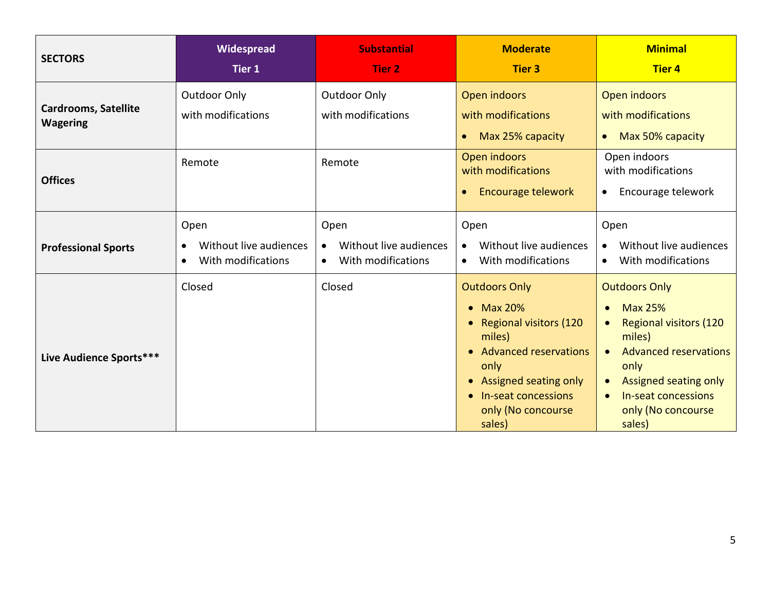| <b>SECTORS</b>                                 | Widespread<br><b>Tier 1</b>                                       | <b>Substantial</b><br><b>Tier 2</b>                               | <b>Moderate</b><br><b>Tier 3</b>                                                                                                                                                                          | <b>Minimal</b><br><b>Tier 4</b>                                                                                                                                                                           |
|------------------------------------------------|-------------------------------------------------------------------|-------------------------------------------------------------------|-----------------------------------------------------------------------------------------------------------------------------------------------------------------------------------------------------------|-----------------------------------------------------------------------------------------------------------------------------------------------------------------------------------------------------------|
| <b>Cardrooms, Satellite</b><br><b>Wagering</b> | Outdoor Only<br>with modifications                                | Outdoor Only<br>with modifications                                | Open indoors<br>with modifications<br>Max 25% capacity<br>$\bullet$                                                                                                                                       | Open indoors<br>with modifications<br>Max 50% capacity<br>$\bullet$                                                                                                                                       |
| <b>Offices</b>                                 | Remote                                                            | Remote                                                            | Open indoors<br>with modifications<br>Encourage telework<br>$\bullet$                                                                                                                                     | Open indoors<br>with modifications<br>Encourage telework<br>$\bullet$                                                                                                                                     |
| <b>Professional Sports</b>                     | Open<br>Without live audiences<br>With modifications<br>$\bullet$ | Open<br>Without live audiences<br>With modifications<br>$\bullet$ | Open<br>Without live audiences<br>$\bullet$<br>With modifications<br>$\bullet$                                                                                                                            | Open<br>Without live audiences<br>$\bullet$<br>With modifications<br>$\bullet$                                                                                                                            |
| Live Audience Sports***                        | Closed                                                            | Closed                                                            | <b>Outdoors Only</b><br>• Max 20%<br>• Regional visitors (120<br>miles)<br>• Advanced reservations<br>only<br>• Assigned seating only<br>In-seat concessions<br>$\bullet$<br>only (No concourse<br>sales) | <b>Outdoors Only</b><br><b>Max 25%</b><br><b>Regional visitors (120</b><br>miles)<br><b>Advanced reservations</b><br>only<br>Assigned seating only<br>In-seat concessions<br>only (No concourse<br>sales) |